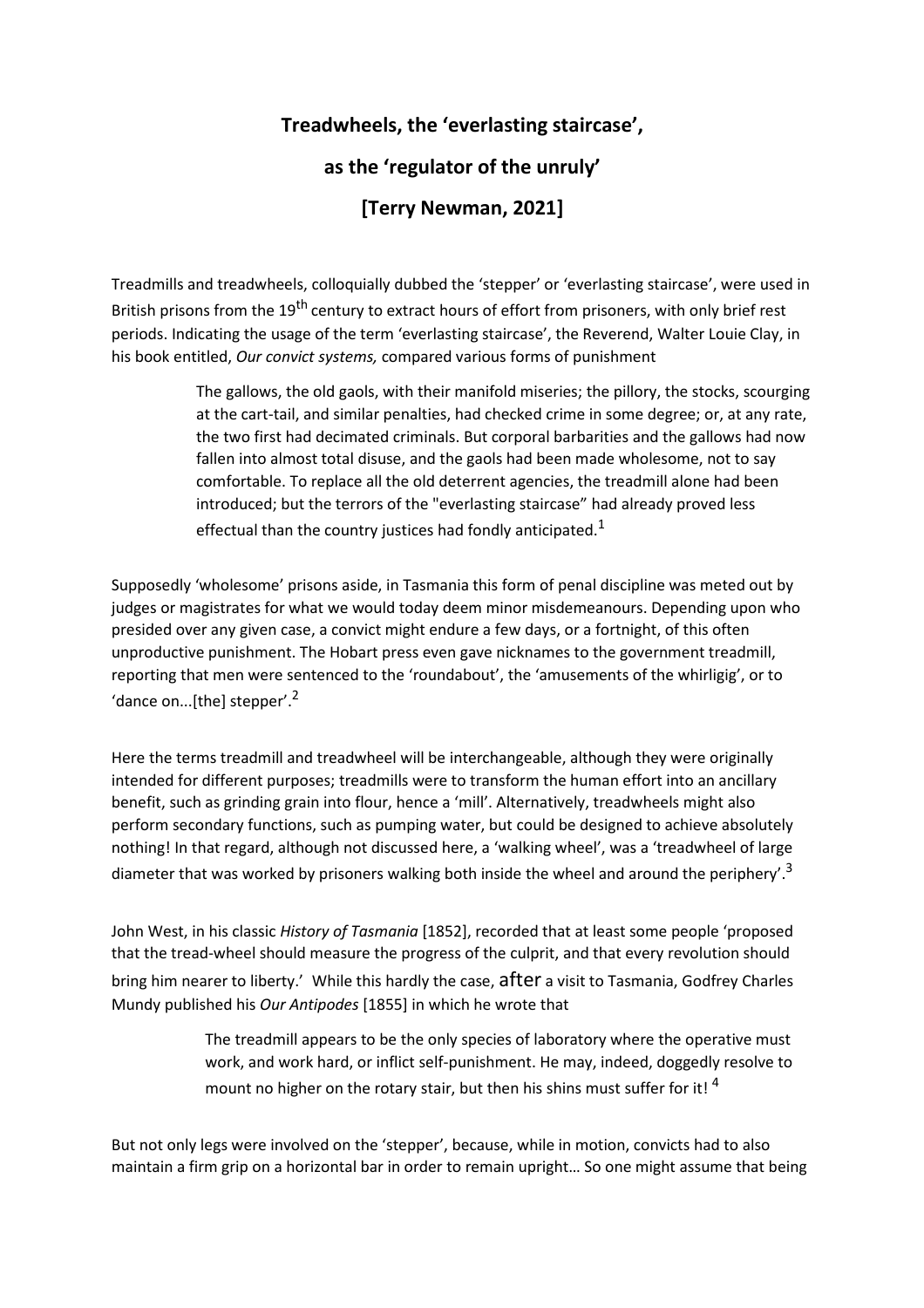## **Treadwheels, the 'everlasting staircase', as the 'regulator of the unruly' [Terry Newman, 2021]**

Treadmills and treadwheels, colloquially dubbed the 'stepper' or 'everlasting staircase', were used in British prisons from the 19<sup>th</sup> century to extract hours of effort from prisoners, with only brief rest periods. Indicating the usage of the term 'everlasting staircase', the Reverend, Walter Louie Clay, in his book entitled, *Our convict systems,* compared various forms of punishment

> The gallows, the old gaols, with their manifold miseries; the pillory, the stocks, scourging at the cart-tail, and similar penalties, had checked crime in some degree; or, at any rate, the two first had decimated criminals. But corporal barbarities and the gallows had now fallen into almost total disuse, and the gaols had been made wholesome, not to say comfortable. To replace all the old deterrent agencies, the treadmill alone had been introduced; but the terrors of the "everlasting staircase" had already proved less effectual than the country justices had fondly anticipated.<sup>1</sup>

Supposedly 'wholesome' prisons aside, in Tasmania this form of penal discipline was meted out by judges or magistrates for what we would today deem minor misdemeanours. Depending upon who presided over any given case, a convict might endure a few days, or a fortnight, of this often unproductive punishment. The Hobart press even gave nicknames to the government treadmill, reporting that men were sentenced to the 'roundabout', the 'amusements of the whirligig', or to 'dance on... $[$ the] stepper'. $^2$ 

Here the terms treadmill and treadwheel will be interchangeable, although they were originally intended for different purposes; treadmills were to transform the human effort into an ancillary benefit, such as grinding grain into flour, hence a 'mill'. Alternatively, treadwheels might also perform secondary functions, such as pumping water, but could be designed to achieve absolutely nothing! In that regard, although not discussed here, a 'walking wheel', was a 'treadwheel of large diameter that was worked by prisoners walking both inside the wheel and around the periphery'.<sup>3</sup>

John West, in his classic *History of Tasmania* [1852], recorded that at least some people 'proposed that the tread-wheel should measure the progress of the culprit, and that every revolution should bring him nearer to liberty.' While this hardly the case, after a visit to Tasmania, Godfrey Charles Mundy published his *Our Antipodes* [1855] in which he wrote that

> The treadmill appears to be the only species of laboratory where the operative must work, and work hard, or inflict self-punishment. He may, indeed, doggedly resolve to mount no higher on the rotary stair, but then his shins must suffer for it!  $4$

But not only legs were involved on the 'stepper', because, while in motion, convicts had to also maintain a firm grip on a horizontal bar in order to remain upright… So one might assume that being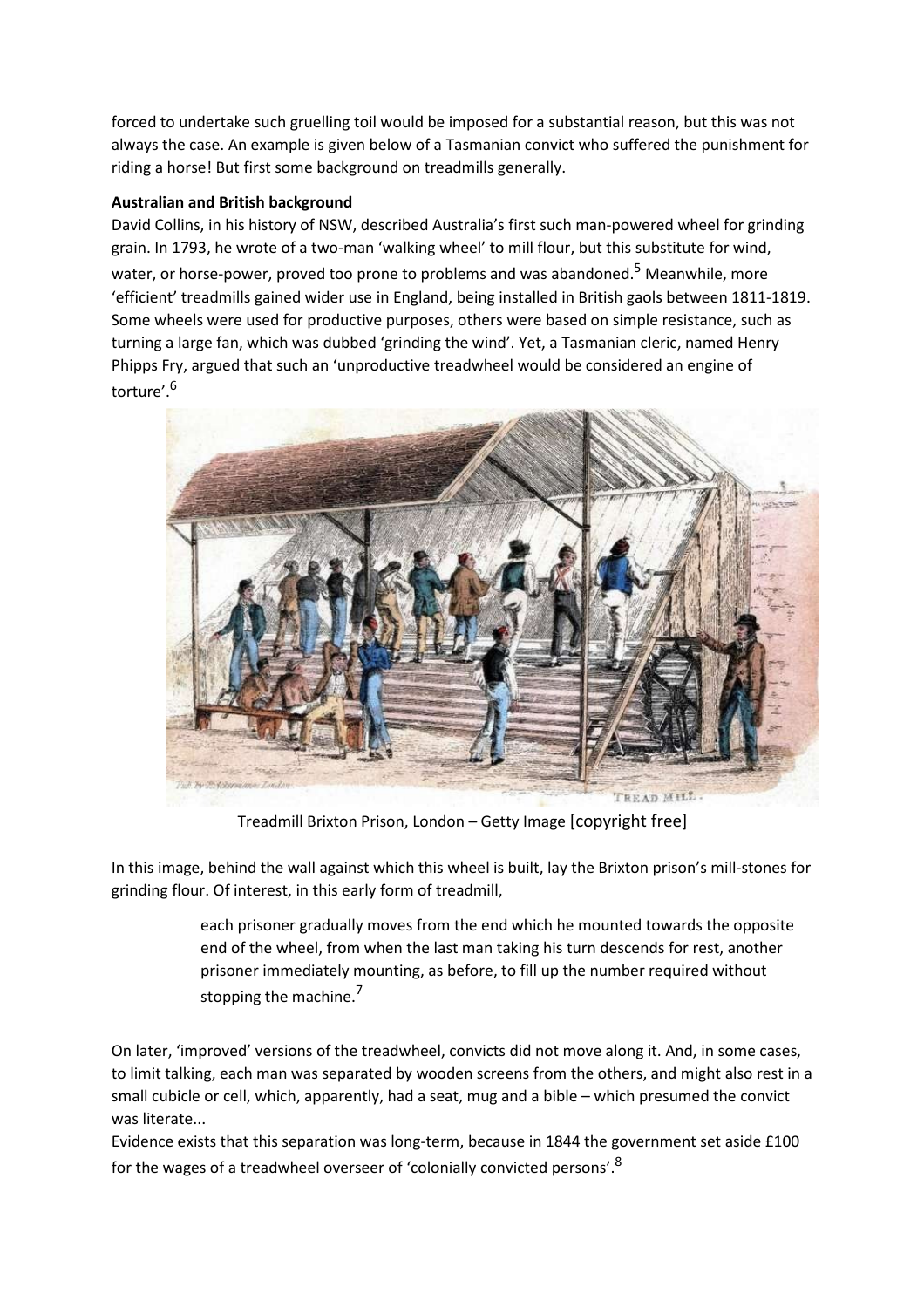forced to undertake such gruelling toil would be imposed for a substantial reason, but this was not always the case. An example is given below of a Tasmanian convict who suffered the punishment for riding a horse! But first some background on treadmills generally.

## **Australian and British background**

David Collins, in his history of NSW, described Australia's first such man-powered wheel for grinding grain. In 1793, he wrote of a two-man 'walking wheel' to mill flour, but this substitute for wind, water, or horse-power, proved too prone to problems and was abandoned.<sup>5</sup> Meanwhile, more 'efficient' treadmills gained wider use in England, being installed in British gaols between 1811-1819. Some wheels were used for productive purposes, others were based on simple resistance, such as turning a large fan, which was dubbed 'grinding the wind'. Yet, a Tasmanian cleric, named Henry Phipps Fry, argued that such an 'unproductive treadwheel would be considered an engine of torture'.<sup>6</sup>



Treadmill Brixton Prison, London – Getty Image [copyright free]

In this image, behind the wall against which this wheel is built, lay the Brixton prison's mill-stones for grinding flour. Of interest, in this early form of treadmill,

> each prisoner gradually moves from the end which he mounted towards the opposite end of the wheel, from when the last man taking his turn descends for rest, another prisoner immediately mounting, as before, to fill up the number required without stopping the machine.<sup>7</sup>

On later, 'improved' versions of the treadwheel, convicts did not move along it. And, in some cases, to limit talking, each man was separated by wooden screens from the others, and might also rest in a small cubicle or cell, which, apparently, had a seat, mug and a bible – which presumed the convict was literate...

Evidence exists that this separation was long-term, because in 1844 the government set aside £100 for the wages of a treadwheel overseer of 'colonially convicted persons'.<sup>8</sup>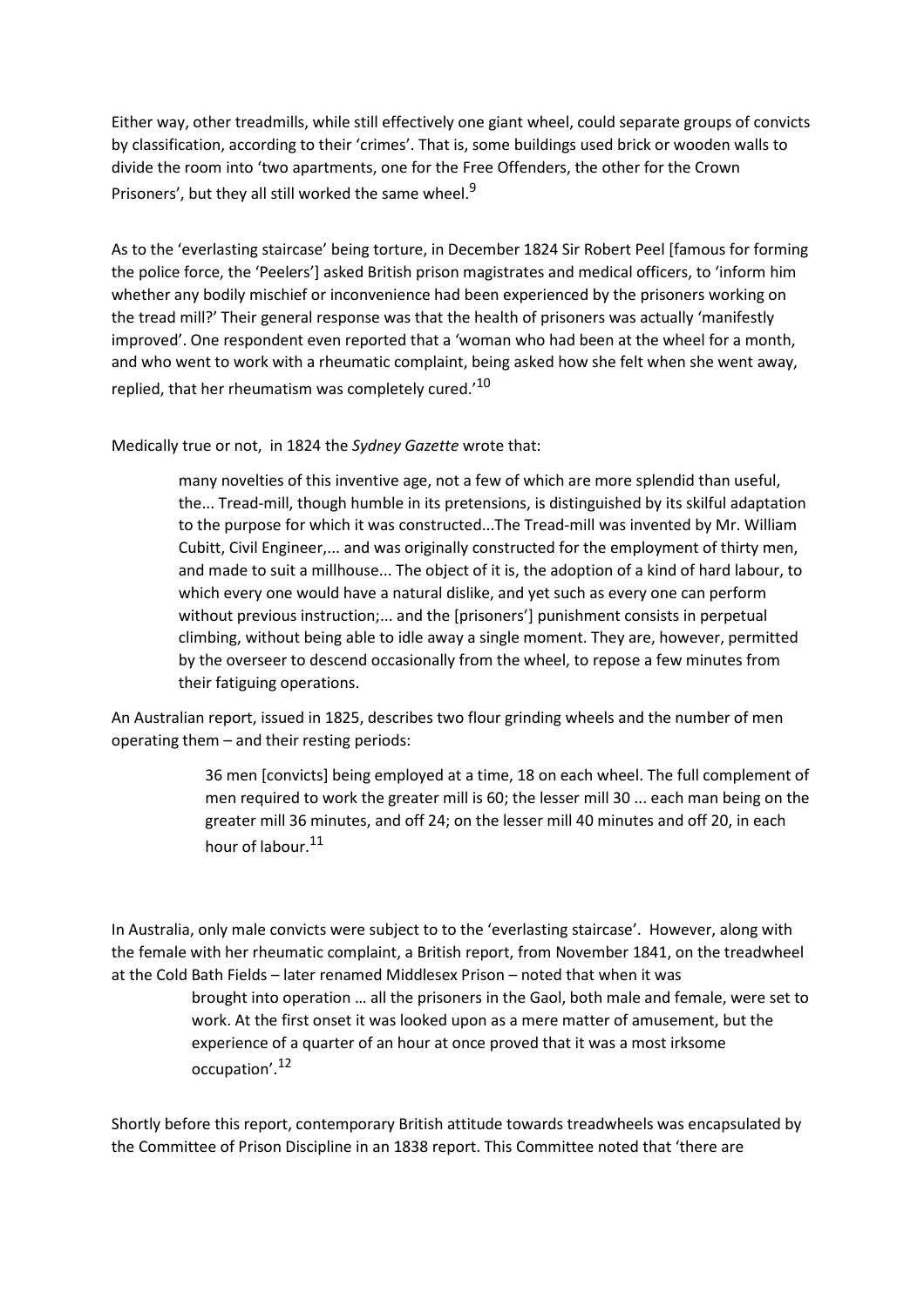Either way, other treadmills, while still effectively one giant wheel, could separate groups of convicts by classification, according to their 'crimes'. That is, some buildings used brick or wooden walls to divide the room into 'two apartments, one for the Free Offenders, the other for the Crown Prisoners', but they all still worked the same wheel.<sup>9</sup>

As to the 'everlasting staircase' being torture, in December 1824 Sir Robert Peel [famous for forming the police force, the 'Peelers'] asked British prison magistrates and medical officers, to 'inform him whether any bodily mischief or inconvenience had been experienced by the prisoners working on the tread mill?' Their general response was that the health of prisoners was actually 'manifestly improved'. One respondent even reported that a 'woman who had been at the wheel for a month, and who went to work with a rheumatic complaint, being asked how she felt when she went away, replied, that her rheumatism was completely cured.<sup>'10</sup>

Medically true or not, in 1824 the *Sydney Gazette* wrote that:

many novelties of this inventive age, not a few of which are more splendid than useful, the... Tread-mill, though humble in its pretensions, is distinguished by its skilful adaptation to the purpose for which it was constructed...The Tread-mill was invented by Mr. William Cubitt, Civil Engineer,... and was originally constructed for the employment of thirty men, and made to suit a millhouse... The object of it is, the adoption of a kind of hard labour, to which every one would have a natural dislike, and yet such as every one can perform without previous instruction;... and the [prisoners'] punishment consists in perpetual climbing, without being able to idle away a single moment. They are, however, permitted by the overseer to descend occasionally from the wheel, to repose a few minutes from their fatiguing operations.

An Australian report, issued in 1825, describes two flour grinding wheels and the number of men operating them – and their resting periods:

> 36 men [convicts] being employed at a time, 18 on each wheel. The full complement of men required to work the greater mill is 60; the lesser mill 30 ... each man being on the greater mill 36 minutes, and off 24; on the lesser mill 40 minutes and off 20, in each hour of labour.<sup>11</sup>

In Australia, only male convicts were subject to to the 'everlasting staircase'. However, along with the female with her rheumatic complaint, a British report, from November 1841, on the treadwheel at the Cold Bath Fields – later renamed Middlesex Prison – noted that when it was

> brought into operation … all the prisoners in the Gaol, both male and female, were set to work. At the first onset it was looked upon as a mere matter of amusement, but the experience of a quarter of an hour at once proved that it was a most irksome occupation'.<sup>12</sup>

Shortly before this report, contemporary British attitude towards treadwheels was encapsulated by the Committee of Prison Discipline in an 1838 report. This Committee noted that 'there are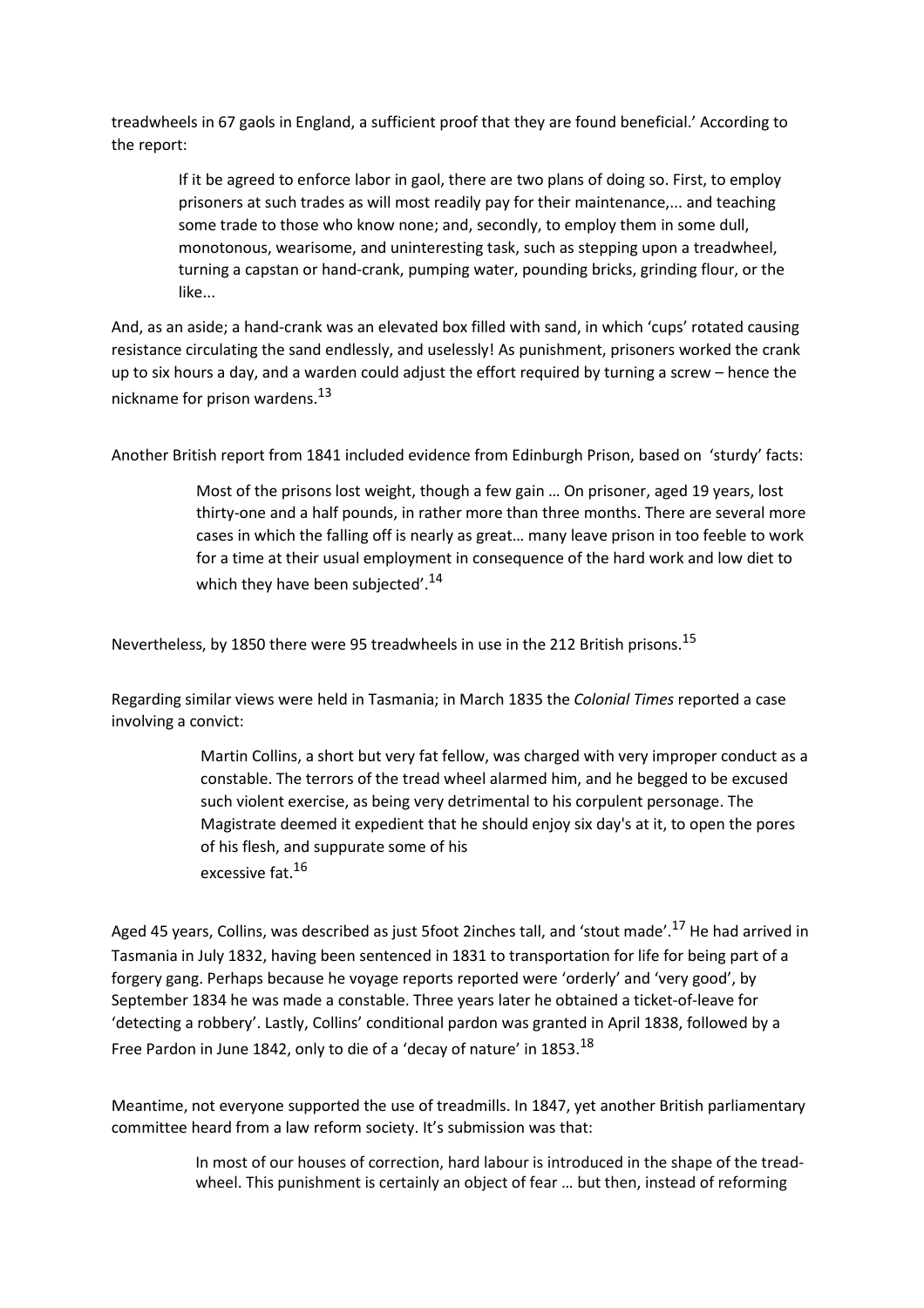treadwheels in 67 gaols in England, a sufficient proof that they are found beneficial.' According to the report:

If it be agreed to enforce labor in gaol, there are two plans of doing so. First, to employ prisoners at such trades as will most readily pay for their maintenance,... and teaching some trade to those who know none; and, secondly, to employ them in some dull, monotonous, wearisome, and uninteresting task, such as stepping upon a treadwheel, turning a capstan or hand-crank, pumping water, pounding bricks, grinding flour, or the like...

And, as an aside; a hand-crank was an elevated box filled with sand, in which 'cups' rotated causing resistance circulating the sand endlessly, and uselessly! As punishment, prisoners worked the crank up to six hours a day, and a warden could adjust the effort required by turning a screw – hence the nickname for prison wardens. $^{13}$ 

Another British report from 1841 included evidence from Edinburgh Prison, based on 'sturdy' facts:

Most of the prisons lost weight, though a few gain … On prisoner, aged 19 years, lost thirty-one and a half pounds, in rather more than three months. There are several more cases in which the falling off is nearly as great… many leave prison in too feeble to work for a time at their usual employment in consequence of the hard work and low diet to which they have been subjected'.<sup>14</sup>

Nevertheless, by 1850 there were 95 treadwheels in use in the 212 British prisons.<sup>15</sup>

Regarding similar views were held in Tasmania; in March 1835 the *Colonial Times* reported a case involving a convict:

> Martin Collins, a short but very fat fellow, was charged with very improper conduct as a constable. The terrors of the tread wheel alarmed him, and he begged to be excused such violent exercise, as being very detrimental to his corpulent personage. The Magistrate deemed it expedient that he should enjoy six day's at it, to open the pores of his flesh, and suppurate some of his excessive fat.<sup>16</sup>

Aged 45 years, Collins, was described as just 5foot 2inches tall, and 'stout made'.<sup>17</sup> He had arrived in Tasmania in July 1832, having been sentenced in 1831 to transportation for life for being part of a forgery gang. Perhaps because he voyage reports reported were 'orderly' and 'very good', by September 1834 he was made a constable. Three years later he obtained a ticket-of-leave for 'detecting a robbery'. Lastly, Collins' conditional pardon was granted in April 1838, followed by a Free Pardon in June 1842, only to die of a 'decay of nature' in 1853.<sup>18</sup>

Meantime, not everyone supported the use of treadmills. In 1847, yet another British parliamentary committee heard from a law reform society. It's submission was that:

> In most of our houses of correction, hard labour is introduced in the shape of the treadwheel. This punishment is certainly an object of fear … but then, instead of reforming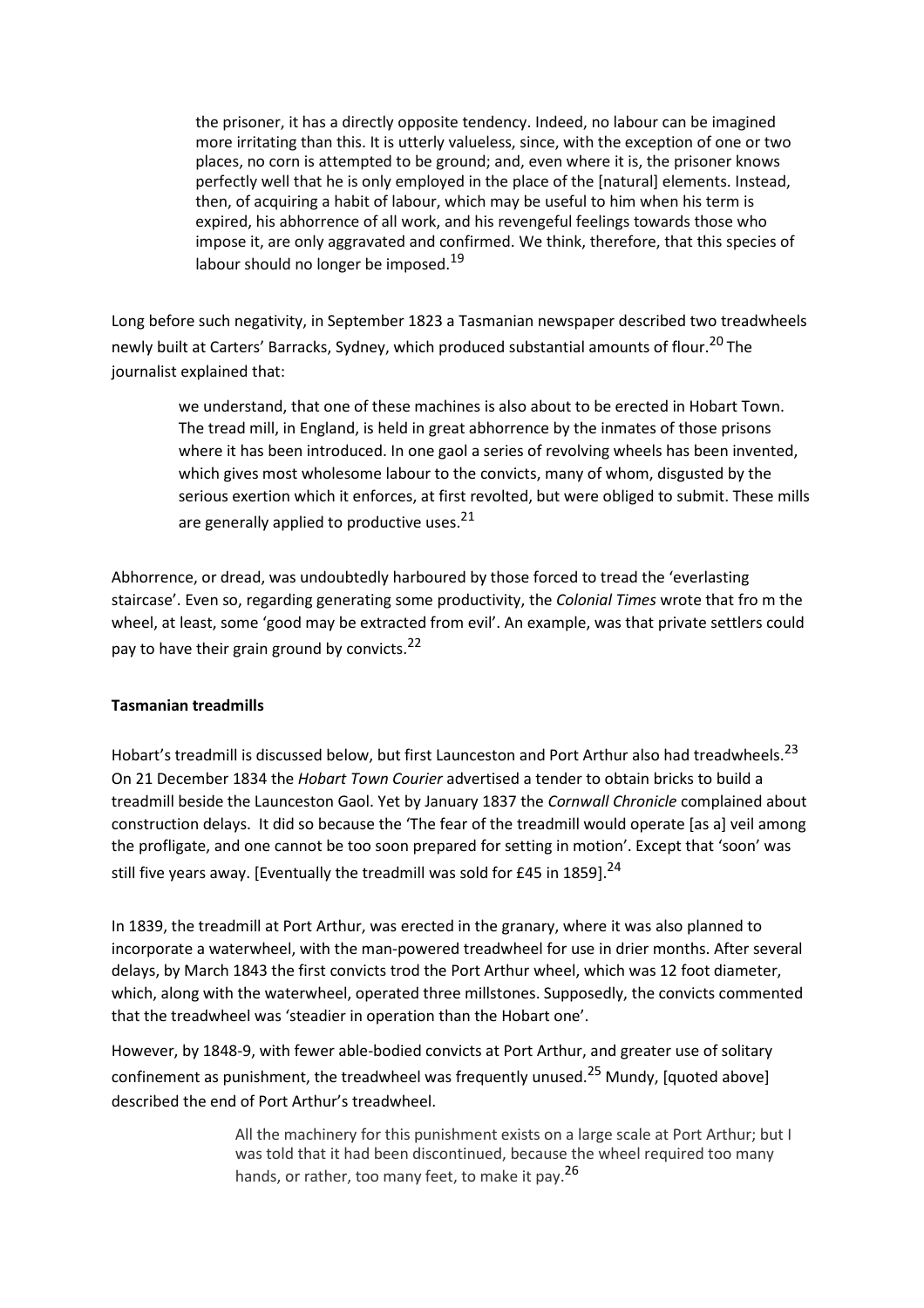the prisoner, it has a directly opposite tendency. Indeed, no labour can be imagined more irritating than this. It is utterly valueless, since, with the exception of one or two places, no corn is attempted to be ground; and, even where it is, the prisoner knows perfectly well that he is only employed in the place of the [natural] elements. Instead, then, of acquiring a habit of labour, which may be useful to him when his term is expired, his abhorrence of all work, and his revengeful feelings towards those who impose it, are only aggravated and confirmed. We think, therefore, that this species of labour should no longer be imposed. $^{19}$ 

Long before such negativity, in September 1823 a Tasmanian newspaper described two treadwheels newly built at Carters' Barracks, Sydney, which produced substantial amounts of flour.<sup>20</sup> The journalist explained that:

we understand, that one of these machines is also about to be erected in Hobart Town. The tread mill, in England, is held in great abhorrence by the inmates of those prisons where it has been introduced. In one gaol a series of revolving wheels has been invented, which gives most wholesome labour to the convicts, many of whom, disgusted by the serious exertion which it enforces, at first revolted, but were obliged to submit. These mills are generally applied to productive uses.<sup>21</sup>

Abhorrence, or dread, was undoubtedly harboured by those forced to tread the 'everlasting staircase'. Even so, regarding generating some productivity, the *Colonial Times* wrote that fro m the wheel, at least, some 'good may be extracted from evil'. An example, was that private settlers could pay to have their grain ground by convicts.<sup>22</sup>

## **Tasmanian treadmills**

Hobart's treadmill is discussed below, but first Launceston and Port Arthur also had treadwheels.<sup>23</sup> On 21 December 1834 the *Hobart Town Courier* advertised a tender to obtain bricks to build a treadmill beside the Launceston Gaol. Yet by January 1837 the *Cornwall Chronicle* complained about construction delays. It did so because the 'The fear of the treadmill would operate [as a] veil among the profligate, and one cannot be too soon prepared for setting in motion'. Except that 'soon' was still five years away. [Eventually the treadmill was sold for £45 in 1859].<sup>24</sup>

In 1839, the treadmill at Port Arthur, was erected in the granary, where it was also planned to incorporate a waterwheel, with the man-powered treadwheel for use in drier months. After several delays, by March 1843 the first convicts trod the Port Arthur wheel, which was 12 foot diameter, which, along with the waterwheel, operated three millstones. Supposedly, the convicts commented that the treadwheel was 'steadier in operation than the Hobart one'.

However, by 1848-9, with fewer able-bodied convicts at Port Arthur, and greater use of solitary confinement as punishment, the treadwheel was frequently unused.<sup>25</sup> Mundy, [quoted above] described the end of Port Arthur's treadwheel.

> All the machinery for this punishment exists on a large scale at Port Arthur; but I was told that it had been discontinued, because the wheel required too many hands, or rather, too many feet, to make it pay.<sup>26</sup>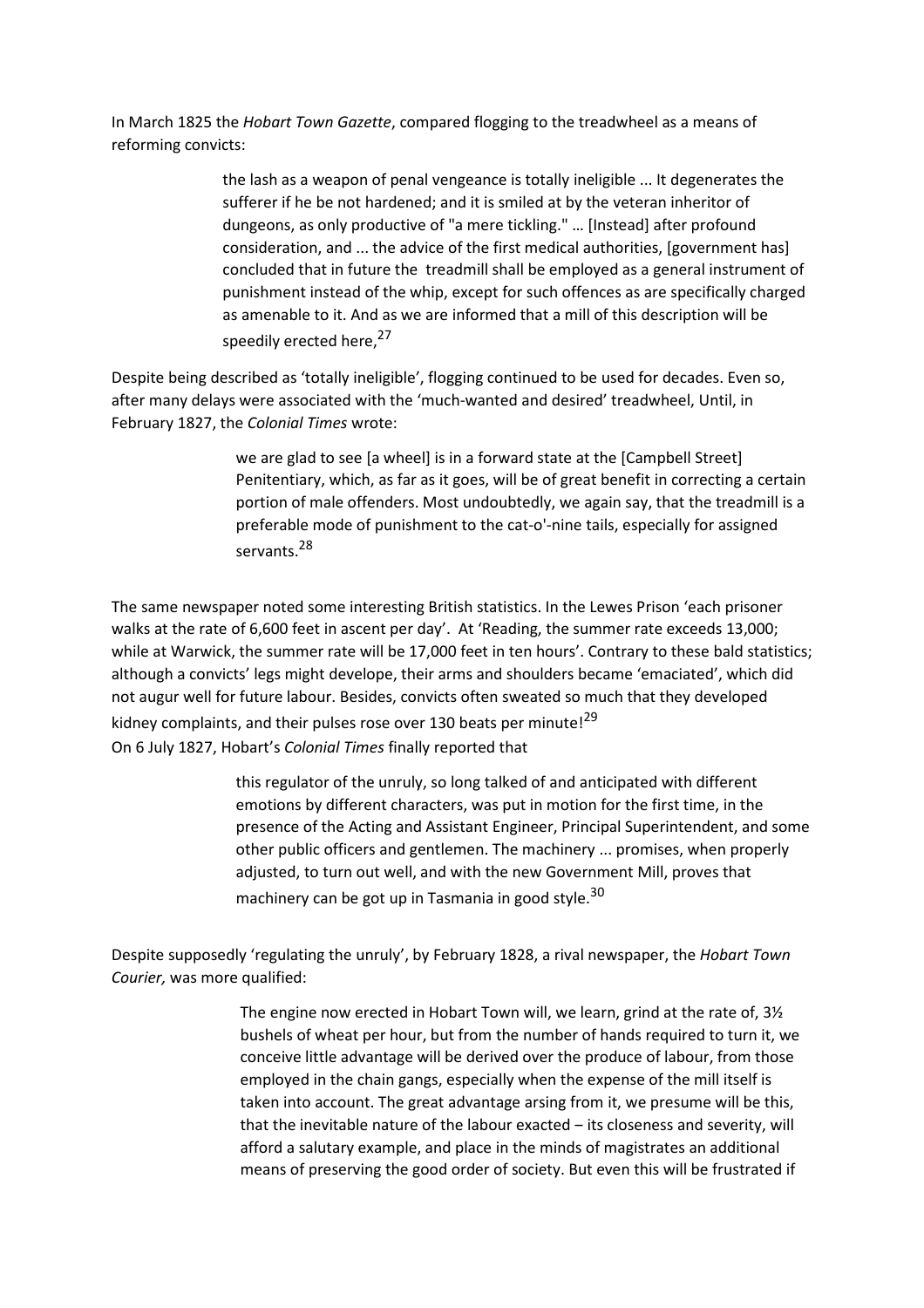In March 1825 the *Hobart Town Gazette*, compared flogging to the treadwheel as a means of reforming convicts:

> the lash as a weapon of penal vengeance is totally ineligible ... It degenerates the sufferer if he be not hardened; and it is smiled at by the veteran inheritor of dungeons, as only productive of "a mere tickling." … [Instead] after profound consideration, and ... the advice of the first medical authorities, [government has] concluded that in future the treadmill shall be employed as a general instrument of punishment instead of the whip, except for such offences as are specifically charged as amenable to it. And as we are informed that a mill of this description will be speedily erected here,<sup>27</sup>

Despite being described as 'totally ineligible', flogging continued to be used for decades. Even so, after many delays were associated with the 'much-wanted and desired' treadwheel, Until, in February 1827, the *Colonial Times* wrote:

> we are glad to see [a wheel] is in a forward state at the [Campbell Street] Penitentiary, which, as far as it goes, will be of great benefit in correcting a certain portion of male offenders. Most undoubtedly, we again say, that the treadmill is a preferable mode of punishment to the cat-o'-nine tails, especially for assigned servants. <sup>28</sup>

The same newspaper noted some interesting British statistics. In the Lewes Prison 'each prisoner walks at the rate of 6,600 feet in ascent per day'. At 'Reading, the summer rate exceeds 13,000; while at Warwick, the summer rate will be 17,000 feet in ten hours'. Contrary to these bald statistics; although a convicts' legs might develope, their arms and shoulders became 'emaciated', which did not augur well for future labour. Besides, convicts often sweated so much that they developed kidney complaints, and their pulses rose over 130 beats per minute!<sup>29</sup> On 6 July 1827, Hobart's *Colonial Times* finally reported that

> this regulator of the unruly, so long talked of and anticipated with different emotions by different characters, was put in motion for the first time, in the presence of the Acting and Assistant Engineer, Principal Superintendent, and some other public officers and gentlemen. The machinery ... promises, when properly adjusted, to turn out well, and with the new Government Mill, proves that machinery can be got up in Tasmania in good style.<sup>30</sup>

Despite supposedly 'regulating the unruly', by February 1828, a rival newspaper, the *Hobart Town Courier,* was more qualified:

> The engine now erected in Hobart Town will, we learn, grind at the rate of, 3½ bushels of wheat per hour, but from the number of hands required to turn it, we conceive little advantage will be derived over the produce of labour, from those employed in the chain gangs, especially when the expense of the mill itself is taken into account. The great advantage arsing from it, we presume will be this, that the inevitable nature of the labour exacted - its closeness and severity, will afford a salutary example, and place in the minds of magistrates an additional means of preserving the good order of society. But even this will be frustrated if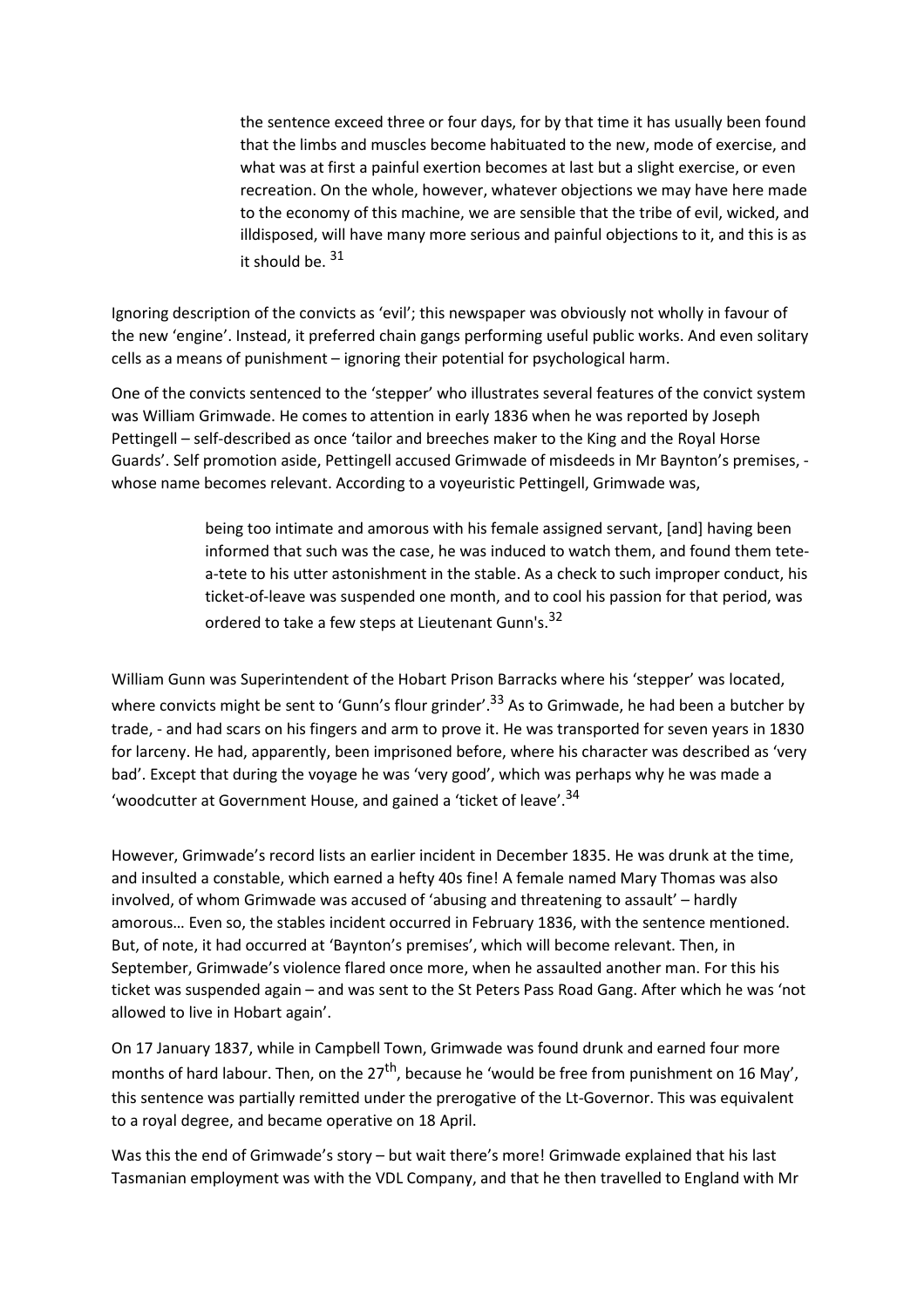the sentence exceed three or four days, for by that time it has usually been found that the limbs and muscles become habituated to the new, mode of exercise, and what was at first a painful exertion becomes at last but a slight exercise, or even recreation. On the whole, however, whatever objections we may have here made to the economy of this machine, we are sensible that the tribe of evil, wicked, and illdisposed, will have many more serious and painful objections to it, and this is as it should be. 31

Ignoring description of the convicts as 'evil'; this newspaper was obviously not wholly in favour of the new 'engine'. Instead, it preferred chain gangs performing useful public works. And even solitary cells as a means of punishment – ignoring their potential for psychological harm.

One of the convicts sentenced to the 'stepper' who illustrates several features of the convict system was William Grimwade. He comes to attention in early 1836 when he was reported by Joseph Pettingell – self-described as once 'tailor and breeches maker to the King and the Royal Horse Guards'. Self promotion aside, Pettingell accused Grimwade of misdeeds in Mr Baynton's premises, whose name becomes relevant. According to a voyeuristic Pettingell, Grimwade was,

> being too intimate and amorous with his female assigned servant, [and] having been informed that such was the case, he was induced to watch them, and found them tetea-tete to his utter astonishment in the stable. As a check to such improper conduct, his ticket-of-leave was suspended one month, and to cool his passion for that period, was ordered to take a few steps at Lieutenant Gunn's.<sup>32</sup>

William Gunn was Superintendent of the Hobart Prison Barracks where his 'stepper' was located, where convicts might be sent to 'Gunn's flour grinder'.<sup>33</sup> As to Grimwade, he had been a butcher by trade, - and had scars on his fingers and arm to prove it. He was transported for seven years in 1830 for larceny. He had, apparently, been imprisoned before, where his character was described as 'very bad'. Except that during the voyage he was 'very good', which was perhaps why he was made a 'woodcutter at Government House, and gained a 'ticket of leave'.<sup>34</sup>

However, Grimwade's record lists an earlier incident in December 1835. He was drunk at the time, and insulted a constable, which earned a hefty 40s fine! A female named Mary Thomas was also involved, of whom Grimwade was accused of 'abusing and threatening to assault' – hardly amorous… Even so, the stables incident occurred in February 1836, with the sentence mentioned. But, of note, it had occurred at 'Baynton's premises', which will become relevant. Then, in September, Grimwade's violence flared once more, when he assaulted another man. For this his ticket was suspended again – and was sent to the St Peters Pass Road Gang. After which he was 'not allowed to live in Hobart again'.

On 17 January 1837, while in Campbell Town, Grimwade was found drunk and earned four more months of hard labour. Then, on the  $27<sup>th</sup>$ , because he 'would be free from punishment on 16 May', this sentence was partially remitted under the prerogative of the Lt-Governor. This was equivalent to a royal degree, and became operative on 18 April.

Was this the end of Grimwade's story – but wait there's more! Grimwade explained that his last Tasmanian employment was with the VDL Company, and that he then travelled to England with Mr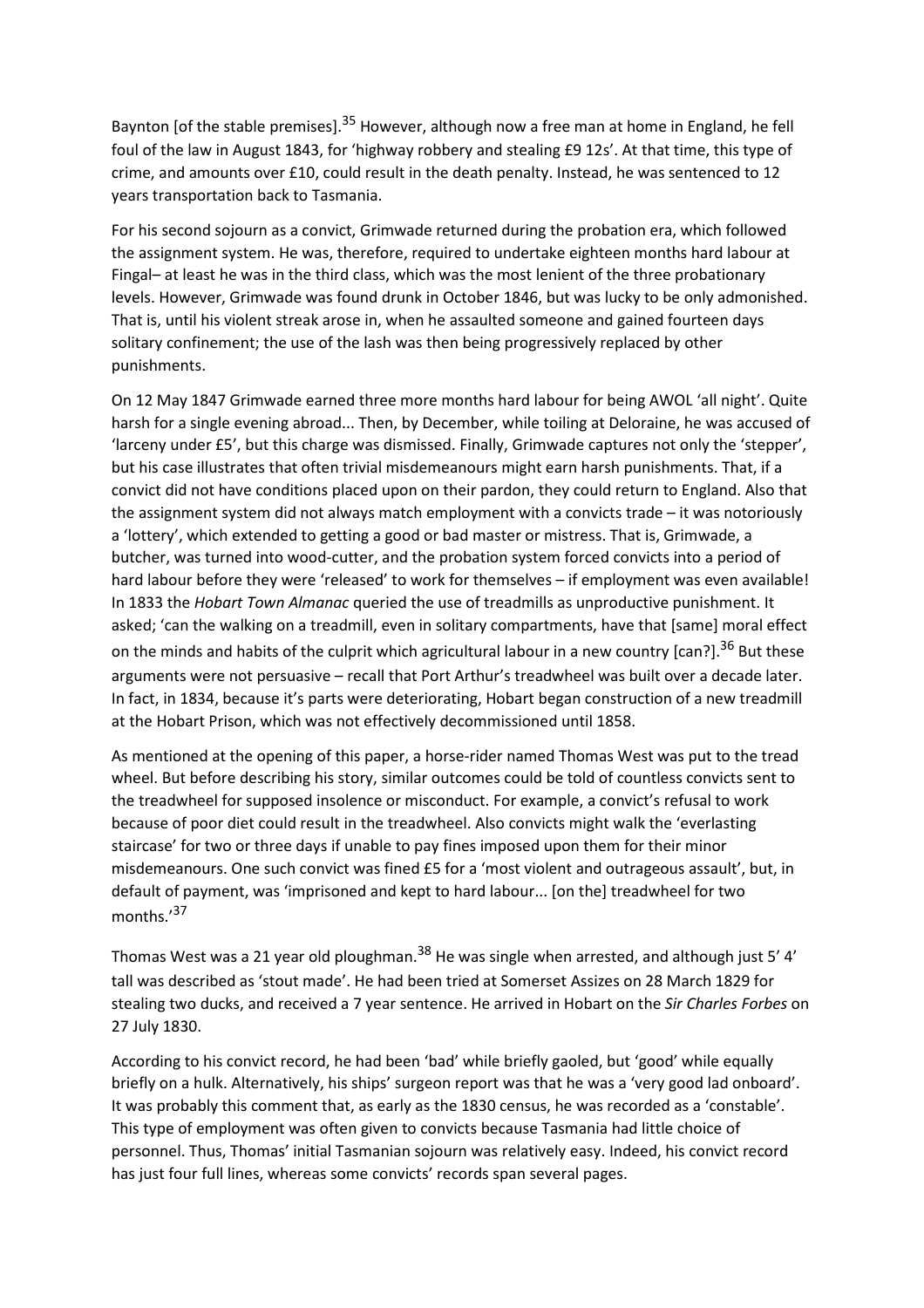Baynton [of the stable premises].<sup>35</sup> However, although now a free man at home in England, he fell foul of the law in August 1843, for 'highway robbery and stealing £9 12s'. At that time, this type of crime, and amounts over £10, could result in the death penalty. Instead, he was sentenced to 12 years transportation back to Tasmania.

For his second sojourn as a convict, Grimwade returned during the probation era, which followed the assignment system. He was, therefore, required to undertake eighteen months hard labour at Fingal– at least he was in the third class, which was the most lenient of the three probationary levels. However, Grimwade was found drunk in October 1846, but was lucky to be only admonished. That is, until his violent streak arose in, when he assaulted someone and gained fourteen days solitary confinement; the use of the lash was then being progressively replaced by other punishments.

On 12 May 1847 Grimwade earned three more months hard labour for being AWOL 'all night'. Quite harsh for a single evening abroad... Then, by December, while toiling at Deloraine, he was accused of 'larceny under £5', but this charge was dismissed. Finally, Grimwade captures not only the 'stepper', but his case illustrates that often trivial misdemeanours might earn harsh punishments. That, if a convict did not have conditions placed upon on their pardon, they could return to England. Also that the assignment system did not always match employment with a convicts trade – it was notoriously a 'lottery', which extended to getting a good or bad master or mistress. That is, Grimwade, a butcher, was turned into wood-cutter, and the probation system forced convicts into a period of hard labour before they were 'released' to work for themselves – if employment was even available! In 1833 the *Hobart Town Almanac* queried the use of treadmills as unproductive punishment. It asked; 'can the walking on a treadmill, even in solitary compartments, have that [same] moral effect on the minds and habits of the culprit which agricultural labour in a new country [can?].<sup>36</sup> But these arguments were not persuasive – recall that Port Arthur's treadwheel was built over a decade later. In fact, in 1834, because it's parts were deteriorating, Hobart began construction of a new treadmill at the Hobart Prison, which was not effectively decommissioned until 1858.

As mentioned at the opening of this paper, a horse-rider named Thomas West was put to the tread wheel. But before describing his story, similar outcomes could be told of countless convicts sent to the treadwheel for supposed insolence or misconduct. For example, a convict's refusal to work because of poor diet could result in the treadwheel. Also convicts might walk the 'everlasting staircase' for two or three days if unable to pay fines imposed upon them for their minor misdemeanours. One such convict was fined £5 for a 'most violent and outrageous assault', but, in default of payment, was 'imprisoned and kept to hard labour... [on the] treadwheel for two months.'<sup>37</sup>

Thomas West was a 21 year old ploughman.<sup>38</sup> He was single when arrested, and although just 5' 4' tall was described as 'stout made'. He had been tried at Somerset Assizes on 28 March 1829 for stealing two ducks, and received a 7 year sentence. He arrived in Hobart on the *Sir Charles Forbes* on 27 July 1830.

According to his convict record, he had been 'bad' while briefly gaoled, but 'good' while equally briefly on a hulk. Alternatively, his ships' surgeon report was that he was a 'very good lad onboard'. It was probably this comment that, as early as the 1830 census, he was recorded as a 'constable'. This type of employment was often given to convicts because Tasmania had little choice of personnel. Thus, Thomas' initial Tasmanian sojourn was relatively easy. Indeed, his convict record has just four full lines, whereas some convicts' records span several pages.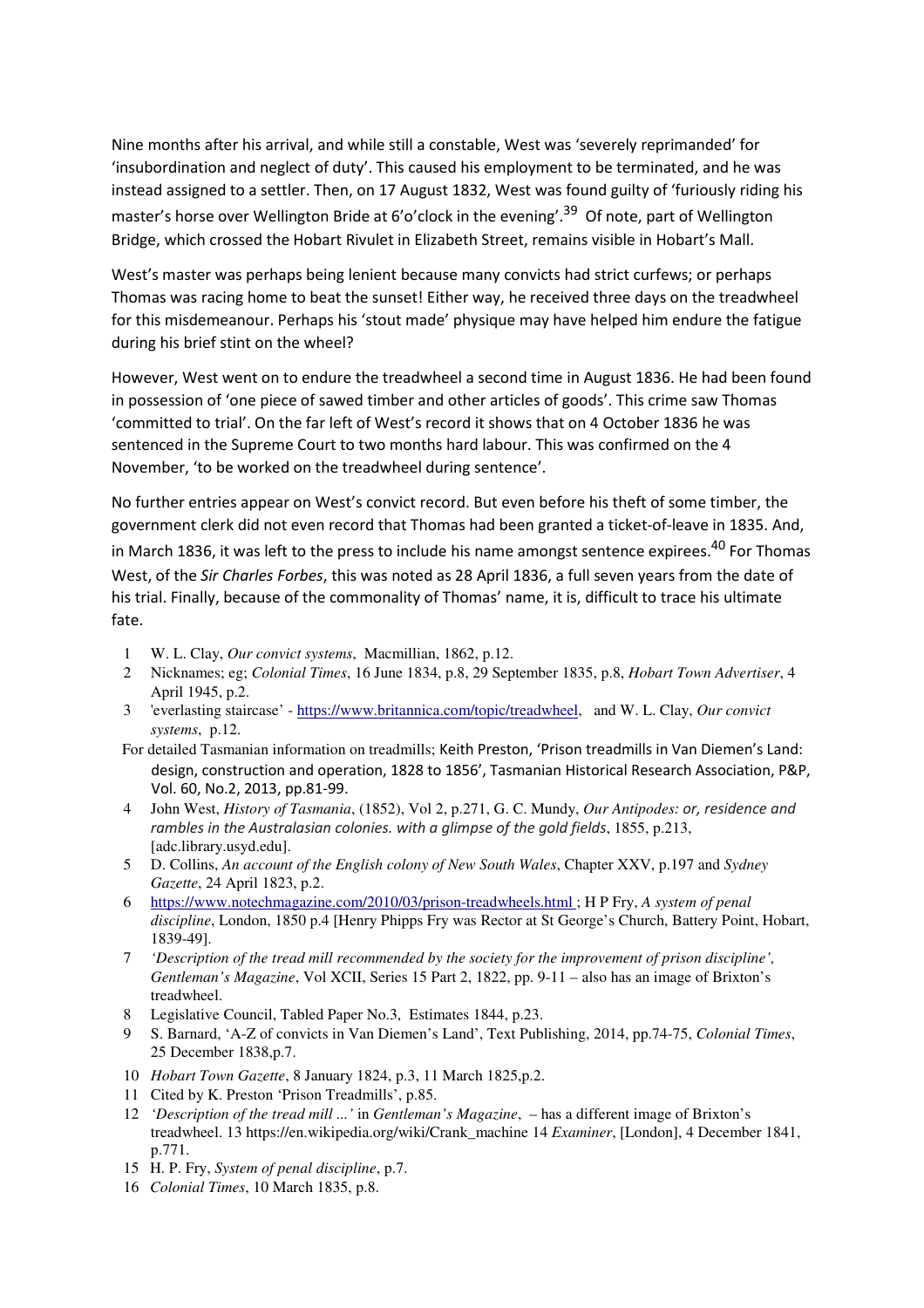Nine months after his arrival, and while still a constable, West was 'severely reprimanded' for 'insubordination and neglect of duty'. This caused his employment to be terminated, and he was instead assigned to a settler. Then, on 17 August 1832, West was found guilty of 'furiously riding his master's horse over Wellington Bride at 6'o'clock in the evening'.<sup>39</sup> Of note, part of Wellington Bridge, which crossed the Hobart Rivulet in Elizabeth Street, remains visible in Hobart's Mall.

West's master was perhaps being lenient because many convicts had strict curfews; or perhaps Thomas was racing home to beat the sunset! Either way, he received three days on the treadwheel for this misdemeanour. Perhaps his 'stout made' physique may have helped him endure the fatigue during his brief stint on the wheel?

However, West went on to endure the treadwheel a second time in August 1836. He had been found in possession of 'one piece of sawed timber and other articles of goods'. This crime saw Thomas 'committed to trial'. On the far left of West's record it shows that on 4 October 1836 he was sentenced in the Supreme Court to two months hard labour. This was confirmed on the 4 November, 'to be worked on the treadwheel during sentence'.

No further entries appear on West's convict record. But even before his theft of some timber, the government clerk did not even record that Thomas had been granted a ticket-of-leave in 1835. And, in March 1836, it was left to the press to include his name amongst sentence expirees.<sup>40</sup> For Thomas West, of the *Sir Charles Forbes*, this was noted as 28 April 1836, a full seven years from the date of his trial. Finally, because of the commonality of Thomas' name, it is, difficult to trace his ultimate fate.

- 1 W. L. Clay, *Our convict systems*, Macmillian, 1862, p.12.
- 2 Nicknames; eg; *Colonial Times*, 16 June 1834, p.8, 29 September 1835, p.8, *Hobart Town Advertiser*, 4 April 1945, p.2.
- 3 'everlasting staircase' https://www.britannica.com/topic/treadwheel, and W. L. Clay, *Our convict systems*, p.12.
- For detailed Tasmanian information on treadmills; Keith Preston, 'Prison treadmills in Van Diemen's Land: design, construction and operation, 1828 to 1856', Tasmanian Historical Research Association, P&P, Vol. 60, No.2, 2013, pp.81-99.
- 4 John West, *History of Tasmania*, (1852), Vol 2, p.271, G. C. Mundy, *Our Antipodes: or, residence and rambles in the Australasian colonies. with a glimpse of the gold fields*, 1855, p.213, [adc.library.usyd.edu].
- 5 D. Collins, *An account of the English colony of New South Wales*, Chapter XXV, p.197 and *Sydney Gazette*, 24 April 1823, p.2.
- 6 https://www.notechmagazine.com/2010/03/prison-treadwheels.html ; H P Fry, *A system of penal discipline*, London, 1850 p.4 [Henry Phipps Fry was Rector at St George's Church, Battery Point, Hobart, 1839-49].
- 7 *'Description of the tread mill recommended by the society for the improvement of prison discipline', Gentleman's Magazine*, Vol XCII, Series 15 Part 2, 1822, pp. 9-11 – also has an image of Brixton's treadwheel.
- 8 Legislative Council, Tabled Paper No.3, Estimates 1844, p.23.
- 9 S. Barnard, 'A-Z of convicts in Van Diemen's Land', Text Publishing, 2014, pp.74-75, *Colonial Times*, 25 December 1838,p.7.
- 10 *Hobart Town Gazette*, 8 January 1824, p.3, 11 March 1825,p.2.
- 11 Cited by K. Preston 'Prison Treadmills', p.85.
- 12 *'Description of the tread mill ...'* in *Gentleman's Magazine*, has a different image of Brixton's treadwheel. 13 https://en.wikipedia.org/wiki/Crank\_machine 14 *Examiner*, [London], 4 December 1841, p.771.
- 15 H. P. Fry, *System of penal discipline*, p.7.
- 16 *Colonial Times*, 10 March 1835, p.8.